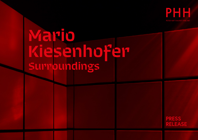

# **Mario Kiesenhofer Surroundings**

**PRESS RELEASE**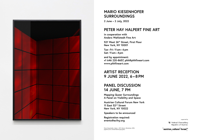

### **MARIO KIESENHOFER SURROUNDINGS**

**2 June – 2 July, 2022**

#### **PETER HAY HALPERT FINE ART**

**in cooperation with Anders Wahlstedt Fine Art**

**521 West 26th Street, First Floor New York, NY 10001**

**Tue – Fri: 11 am–6pm Sat: 11 am–4pm**

**and by appointment: +1 646 220-8657, [phh@phhfineart.com](mailto:phh%40phhfineart.com?subject=Mario%20Kiesenhofer.%20Surroundings) [www.phhfineart.com](https://www.phhfineart.com/)**

### **ARTIST RECEPTION 9 JUNE 2022, 6 – 8 PM**

#### **PANEL DISCUSSION 14 JUNE, 7 PM**

**Mapping Queer Surroundings A Panel on Visibility and Space**

**Austrian Cultural Forum New York 11 East 52nd Street New York, NY 10022** 

**Speakers to be announced**

**Registration required: [events@acfny.org](mailto:events%40acfny.org?subject=registration%20for%20the%20panel%20discussion%20%22Mapping%20Queer%20Surroundings%22)**

Mario Kiesenhofer, *Indoor – NYC Inferno, Manhattan*, 2018, pigment print, framed behind grey glass

supported by

Federal Chancellery Republic of Austria

 $^{-1}$ austrian  $_1$ cultural $^1$ forum $_1^{\text{nyc}}$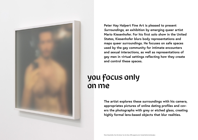

**Peter Hay Halpert Fine Art is pleased to present**  *Surroundings***, an exhibition by emerging queer artist Mario Kiesenhofer. For his first solo show in the United States, Kiesenhofer blurs body representations and maps queer surroundings. He focuses on safe spaces used by the gay community for intimate encounters and sexual interactions, as well as representations of gay men in virtual settings reflecting how they create and control these spaces.**

### **you focus only on me**

**The artist explores these surroundings with his camera, appropriates pictures of online dating profiles and covers the photographs with grey or etched glass, creating highly formal lens-based objects that blur realities.**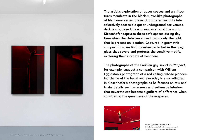

**The artist's exploration of queer spaces and architectures manifests in the black-mirror-like photographs of his** *Indoor* **series, presenting filtered insights into selectively accessible queer underground sex venues, darkrooms, gay-clubs and saunas around the world. Kiesenhofer captures these safe spaces during daytime when the clubs are closed, using only the light that is present on location. Captured in geometric compositions, we find ourselves reflected in the grey glass that covers and protects the sensitive motifs, exploring their intimate atmosphere.**

**The photographs of the Parisian gay sex club** *L'Impact***, for example, suggest a comparison with William Eggleston's photograph of a red ceiling, whose pioneering theme of the banal and everyday is also reflected in Kiesenhofer's photographs as he focuses on raw and trivial details such as screws and self-made interiors that nevertheless become signifiers of difference when considering the queerness of these spaces.**



William Eggleston, *Untitled*, ca 1973 © Eggleston Artistic Trust. Image courtesy of Eggleston Artistic Trust and David Zwirner.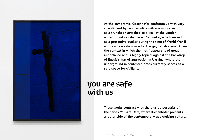

**At the same time, Kiesenhofer confronts us with very specific and hyper-masculine military motifs such as a truncheon attached to a wall at the London underground sex dungeon** *The Bunker***, which served as a protective bunker during the time of World War II and now is a safe space for the gay fetish scene. Again, the context in which the motif appears is of great importance and is highly topical against the backdrop of Russia's war of aggression in Ukraine, where the underground in contested areas currently serves as a safe space for civilians.**

### **you are safe with us**

**These works contrast with the blurred portraits of the series** *You Are Here***, where Kiesenhofer presents another side of the contemporary gay cruising culture.**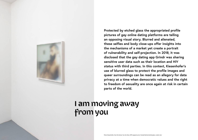

**Protected by etched glass the appropriated profile pictures of gay online dating platforms are telling an opposing visual story. Blurred and alienated, these selfies and body close-ups offer insights into the mechanisms of a market yet create a portrait of vulnerability and self-projection. In 2018, it was disclosed that the gay dating app Grindr was sharing sensitive user data such as their location and HIV status with third parties. In this context, Kiesenhofer's use of blurred glass to protect the profile images and queer surroundings can be read as an allegory for data privacy at a time when democratic values and the right to freedom of sexuality are once again at risk in certain parts of the world.**

## **I am moving away from you**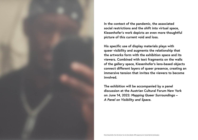

**In the context of the pandemic, the associated social restrictions and the shift into virtual space, Kiesenhofer's work depicts an even more thoughtful picture of this current void and loss.**

**His specific use of display materials plays with queer visibility and augments the relationship that the artworks form with the exhibition space and its viewers. Combined with text fragments on the walls of the gallery space, Kiesenhofer's lens-based objects connect different layers of queer presence, creating an immersive tension that invites the viewers to become involved.**

**The exhibition will be accompanied by a panel discussion at the Austrian Cultural Forum New York on June 14, 2022:** *Mapping Queer Surroundings – A Panel on Visibility and Space.*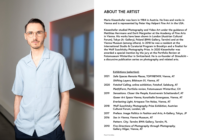

### **ABOUT THE ARTIST**

**Mario Kiesenhofer was born in 1984 in Austria. He lives and works in Vienna and is represented by Peter Hay Halpert Fine Art in the USA.** 

**Kiesenhofer studied Photography and Video Art under the guidance of Matthias Herrmann and Dorit Margreiter at the Academy of Fine Arts in Vienna. His works have been shown in London (Austrian Cultural Forum), Tokyo (A- Gallery), Poland (BWA Gallery, Tarnów) and at the Vienna Museum (among others). In 2018 he was a resident at the International Studio & Curatorial Program in Brooklyn and a finalist for the Wolf Suschitzky Photography Prize. In 2020 Kiesenhofer was awarded a special mention by the jury at the Portfolio Review at Fotomuseum Winterthur in Switzerland. He is co-founder of** *Streulicht* **– a discursive publication series on photography and related arts.**

#### **Exhibitions (selection):**

- *Safe Spaces Remote Places***, TOP19BTM19, Vienna, AT** *Shifting Layers***, Bildraum 01, Vienna, AT 2021**
- *Fotohof Calling***, online exhibition, Fotohof, Salzburg, AT** *Plat(t)Form***, Portfolio review, Fotomuseum Winterthur, CH 2020**
- *Sensations. Closer the People***, Kunstverein Schattendorf, AT** *Queer Art Space Vienna***, Kunsthalle Exnergasse, Vienna, AT** *Everlasting Light***, Artspace Tim Nolas, Vienna, AT 2019**
- *Wolf Suschitzky Photography Prize Exhibition***, Austrian Cultural Forum, London, UK 2018**
- *Preface. Image Politics in Fashion and Arts***, A-Gallery, Tokyo, JP 2017**
- *Sex in Vienna***, Vienna Museum, AT** *Pattern. City. Tarnów***, BWA Gallery, Tarnów, PL 2016**
- *Five Directions of Photography through Photography***, Gallery Hilger, Vienna, AT 2010**

Photo © Eva Kelety